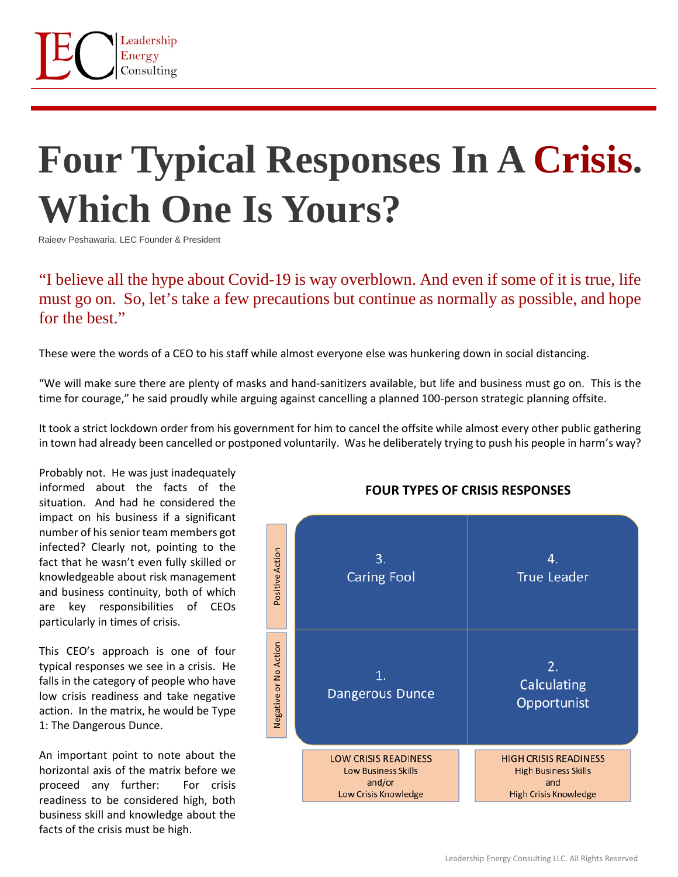# **Four Typical Responses In A Crisis. Which One Is Yours?**

Rajeev Peshawaria, LEC Founder & President

"I believe all the hype about Covid-19 is way overblown. And even if some of it is true, life must go on. So, let's take a few precautions but continue as normally as possible, and hope for the best."

These were the words of a CEO to his staff while almost everyone else was hunkering down in social distancing.

"We will make sure there are plenty of masks and hand-sanitizers available, but life and business must go on. This is the time for courage," he said proudly while arguing against cancelling a planned 100-person strategic planning offsite.

It took a strict lockdown order from his government for him to cancel the offsite while almost every other public gathering in town had already been cancelled or postponed voluntarily. Was he deliberately trying to push his people in harm's way?

Probably not. He was just inadequately informed about the facts of the situation. And had he considered the impact on his business if a significant number of his senior team members got infected? Clearly not, pointing to the fact that he wasn't even fully skilled or knowledgeable about risk management and business continuity, both of which are key responsibilities of CEOs particularly in times of crisis.

This CEO's approach is one of four typical responses we see in a crisis. He falls in the category of people who have low crisis readiness and take negative action. In the matrix, he would be Type 1: The Dangerous Dunce.

An important point to note about the horizontal axis of the matrix before we proceed any further: For crisis readiness to be considered high, both business skill and knowledge about the facts of the crisis must be high.

### **FOUR TYPES OF CRISIS RESPONSES**

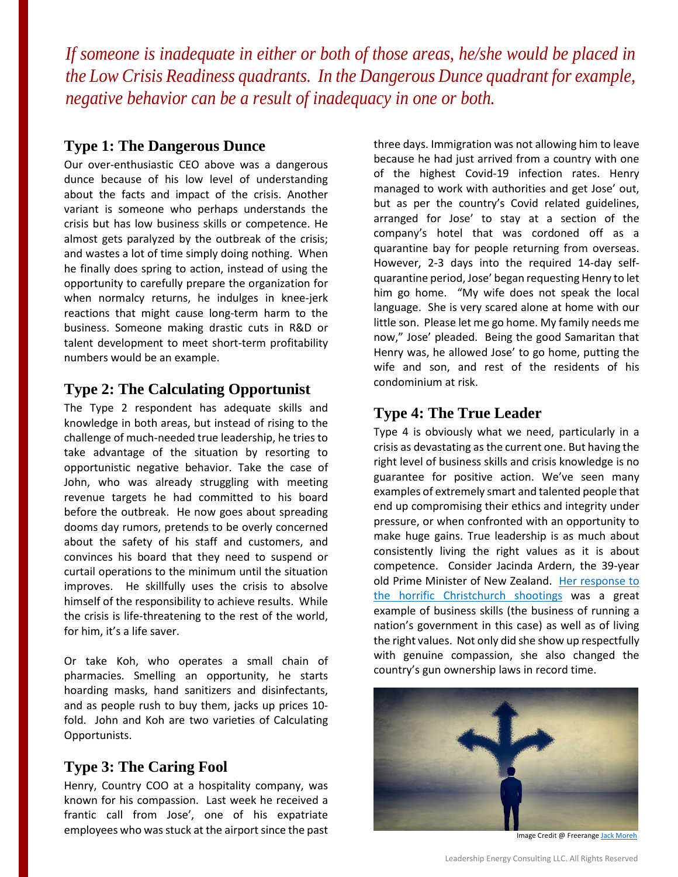*If someone is inadequate in either or both of those areas, he/she would be placed in the Low Crisis Readiness quadrants. In the Dangerous Dunce quadrant for example, negative behavior can be a result of inadequacy in one or both.*

#### **Type 1: The Dangerous Dunce**

Our over-enthusiastic CEO above was a dangerous dunce because of his low level of understanding about the facts and impact of the crisis. Another variant is someone who perhaps understands the crisis but has low business skills or competence. He almost gets paralyzed by the outbreak of the crisis; and wastes a lot of time simply doing nothing. When he finally does spring to action, instead of using the opportunity to carefully prepare the organization for when normalcy returns, he indulges in knee-jerk reactions that might cause long-term harm to the business. Someone making drastic cuts in R&D or talent development to meet short-term profitability numbers would be an example.

#### **Type 2: The Calculating Opportunist**

The Type 2 respondent has adequate skills and knowledge in both areas, but instead of rising to the challenge of much-needed true leadership, he tries to take advantage of the situation by resorting to opportunistic negative behavior. Take the case of John, who was already struggling with meeting revenue targets he had committed to his board before the outbreak. He now goes about spreading dooms day rumors, pretends to be overly concerned about the safety of his staff and customers, and convinces his board that they need to suspend or curtail operations to the minimum until the situation improves. He skillfully uses the crisis to absolve himself of the responsibility to achieve results. While the crisis is life-threatening to the rest of the world, for him, it's a life saver.

Or take Koh, who operates a small chain of pharmacies. Smelling an opportunity, he starts hoarding masks, hand sanitizers and disinfectants, and as people rush to buy them, jacks up prices 10 fold. John and Koh are two varieties of Calculating Opportunists.

# **Type 3: The Caring Fool**

Henry, Country COO at a hospitality company, was known for his compassion. Last week he received a frantic call from Jose', one of his expatriate employees who was stuck at the airport since the past

three days. Immigration was not allowing him to leave because he had just arrived from a country with one of the highest Covid-19 infection rates. Henry managed to work with authorities and get Jose' out, but as per the country's Covid related guidelines, arranged for Jose' to stay at a section of the company's hotel that was cordoned off as a quarantine bay for people returning from overseas. However, 2-3 days into the required 14-day selfquarantine period, Jose' began requesting Henry to let him go home. "My wife does not speak the local language. She is very scared alone at home with our little son. Please let me go home. My family needs me now," Jose' pleaded. Being the good Samaritan that Henry was, he allowed Jose' to go home, putting the wife and son, and rest of the residents of his condominium at risk.

## **Type 4: The True Leader**

Type 4 is obviously what we need, particularly in a crisis as devastating as the current one. But having the right level of business skills and crisis knowledge is no guarantee for positive action. We've seen many examples of extremely smart and talented people that end up compromising their ethics and integrity under pressure, or when confronted with an opportunity to make huge gains. True leadership is as much about consistently living the right values as it is about competence. Consider Jacinda Ardern, the 39-year old Prime Minister of New Zealand. [Her response to](https://www.independent.co.uk/news/world/australasia/new-zealand-shooting-jacinda-ardern-video-reaction-world-praise-a8832186.html)  [the horrific Christchurch shootings](https://www.independent.co.uk/news/world/australasia/new-zealand-shooting-jacinda-ardern-video-reaction-world-praise-a8832186.html) was a great example of business skills (the business of running a nation's government in this case) as well as of living the right values. Not only did she show up respectfully with genuine compassion, she also changed the country's gun ownership laws in record time.



Image Credit @ Freerange [Jack Moreh](https://freerangestock.com/photos/120460/which-way-to-go--a-man-facing-choices-and-options.html)